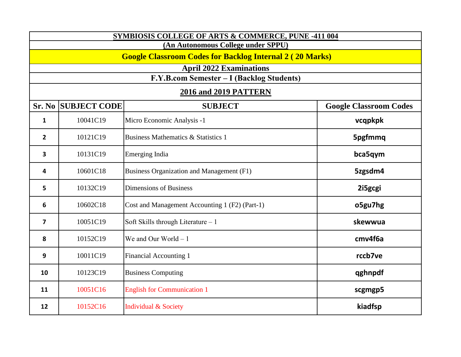| SYMBIOSIS COLLEGE OF ARTS & COMMERCE, PUNE -411 004                                                   |                                |                                                                    |                               |  |
|-------------------------------------------------------------------------------------------------------|--------------------------------|--------------------------------------------------------------------|-------------------------------|--|
| (An Autonomous College under SPPU)<br><b>Google Classroom Codes for Backlog Internal 2 (20 Marks)</b> |                                |                                                                    |                               |  |
|                                                                                                       | <b>April 2022 Examinations</b> |                                                                    |                               |  |
|                                                                                                       |                                | F.Y.B.com Semester - I (Backlog Students)<br>2016 and 2019 PATTERN |                               |  |
|                                                                                                       | <b>Sr. No SUBJECT CODE</b>     | <b>SUBJECT</b>                                                     | <b>Google Classroom Codes</b> |  |
| $\mathbf{1}$                                                                                          | 10041C19                       | Micro Economic Analysis -1                                         | vcqpkpk                       |  |
| $\overline{2}$                                                                                        | 10121C19                       | <b>Business Mathematics &amp; Statistics 1</b>                     | 5pgfmmq                       |  |
| 3                                                                                                     | 10131C19                       | Emerging India                                                     | bca5qym                       |  |
| 4                                                                                                     | 10601C18                       | Business Organization and Management (F1)                          | 5zgsdm4                       |  |
| 5                                                                                                     | 10132C19                       | <b>Dimensions of Business</b>                                      | 2i5gcgi                       |  |
| 6                                                                                                     | 10602C18                       | Cost and Management Accounting 1 (F2) (Part-1)                     | o5gu7hg                       |  |
| $\overline{\mathbf{z}}$                                                                               | 10051C19                       | Soft Skills through Literature - 1                                 | skewwua                       |  |
| 8                                                                                                     | 10152C19                       | We and Our World $-1$                                              | cmv4f6a                       |  |
| 9                                                                                                     | 10011C19                       | Financial Accounting 1                                             | rccb7ve                       |  |
| 10                                                                                                    | 10123C19                       | <b>Business Computing</b>                                          | qghnpdf                       |  |
| 11                                                                                                    | 10051C16                       | <b>English for Communication 1</b>                                 | scgmgp5                       |  |
| 12                                                                                                    | 10152C16                       | <b>Individual &amp; Society</b>                                    | kiadfsp                       |  |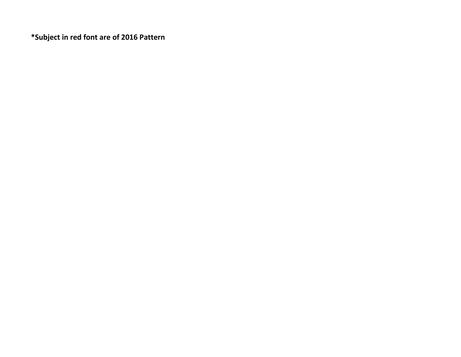**\*Subject in red font are of 2016 Pattern**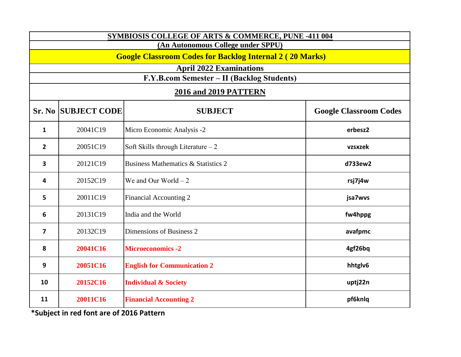| SYMBIOSIS COLLEGE OF ARTS & COMMERCE, PUNE -411 004 |                                                                                                   |                                                |                               |  |
|-----------------------------------------------------|---------------------------------------------------------------------------------------------------|------------------------------------------------|-------------------------------|--|
| (An Autonomous College under SPPU)                  |                                                                                                   |                                                |                               |  |
|                                                     | <b>Google Classroom Codes for Backlog Internal 2 (20 Marks)</b><br><b>April 2022 Examinations</b> |                                                |                               |  |
|                                                     |                                                                                                   | F.Y.B.com Semester - II (Backlog Students)     |                               |  |
|                                                     |                                                                                                   | 2016 and 2019 PATTERN                          |                               |  |
| Sr. No                                              | <b>SUBJECT CODE</b>                                                                               | <b>SUBJECT</b>                                 | <b>Google Classroom Codes</b> |  |
| $\mathbf{1}$                                        | 20041C19                                                                                          | Micro Economic Analysis -2                     | erbesz2                       |  |
| $\overline{2}$                                      | 20051C19                                                                                          | Soft Skills through Literature $-2$            | vzsxzek                       |  |
| $\overline{\mathbf{3}}$                             | 20121C19                                                                                          | <b>Business Mathematics &amp; Statistics 2</b> | d733ew2                       |  |
| 4                                                   | 20152C19                                                                                          | We and Our World $-2$                          | rsj7j4w                       |  |
| 5                                                   | 20011C19                                                                                          | Financial Accounting 2                         | jsa7wvs                       |  |
| 6                                                   | 20131C19                                                                                          | India and the World                            | fw4hppg                       |  |
| $\overline{\mathbf{z}}$                             | 20132C19                                                                                          | Dimensions of Business 2                       | avafpmc                       |  |
| 8                                                   | 20041C16                                                                                          | <b>Microeconomics -2</b>                       | 4gf26bq                       |  |
| 9                                                   | 20051C16                                                                                          | <b>English for Communication 2</b>             | hhtglv6                       |  |
| 10                                                  | 20152C16                                                                                          | <b>Individual &amp; Society</b>                | uptj22n                       |  |
| 11                                                  | 20011C16                                                                                          | <b>Financial Accounting 2</b>                  | pf6knlq                       |  |

**\*Subject in red font are of 2016 Pattern**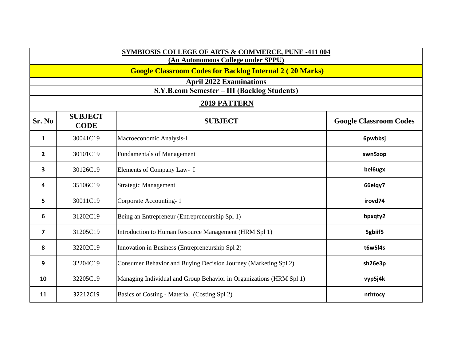| <b>SYMBIOSIS COLLEGE OF ARTS &amp; COMMERCE, PUNE -411 004</b>  |                               |                                                                     |                               |
|-----------------------------------------------------------------|-------------------------------|---------------------------------------------------------------------|-------------------------------|
| (An Autonomous College under SPPU)                              |                               |                                                                     |                               |
| <b>Google Classroom Codes for Backlog Internal 2 (20 Marks)</b> |                               |                                                                     |                               |
|                                                                 |                               | <b>April 2022 Examinations</b>                                      |                               |
|                                                                 |                               | S.Y.B.com Semester - III (Backlog Students)                         |                               |
|                                                                 |                               | <b>2019 PATTERN</b>                                                 |                               |
| Sr. No                                                          | <b>SUBJECT</b><br><b>CODE</b> | <b>SUBJECT</b>                                                      | <b>Google Classroom Codes</b> |
| $\mathbf{1}$                                                    | 30041C19                      | Macroeconomic Analysis-I                                            | 6pwbbsj                       |
| $\overline{2}$                                                  | 30101C19                      | <b>Fundamentals of Management</b>                                   | swn5zop                       |
| 3                                                               | 30126C19                      | Elements of Company Law- I                                          | bel6ugx                       |
| 4                                                               | 35106C19                      | <b>Strategic Management</b>                                         | 66elqy7                       |
| 5                                                               | 30011C19                      | Corporate Accounting-1                                              | irovd74                       |
| 6                                                               | 31202C19                      | Being an Entrepreneur (Entrepreneurship Spl 1)                      | bpxqty2                       |
| $\overline{7}$                                                  | 31205C19                      | Introduction to Human Resource Management (HRM Spl 1)               | 5gbiif5                       |
| 8                                                               | 32202C19                      | Innovation in Business (Entrepreneurship Spl 2)                     | t6w5l4s                       |
| 9                                                               | 32204C19                      | Consumer Behavior and Buying Decision Journey (Marketing Spl 2)     | sh26e3p                       |
| 10                                                              | 32205C19                      | Managing Individual and Group Behavior in Organizations (HRM Spl 1) | vyp5j4k                       |
| 11                                                              | 32212C19                      | Basics of Costing - Material (Costing Spl 2)                        | nrhtocy                       |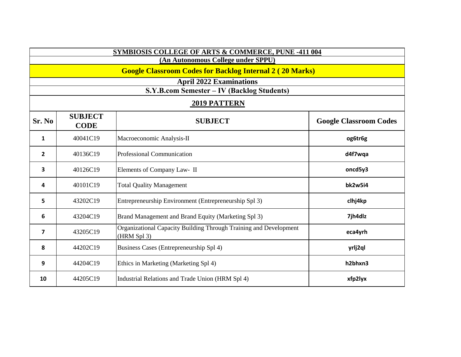| <b>SYMBIOSIS COLLEGE OF ARTS &amp; COMMERCE, PUNE -411 004</b>  |                               |                                                                                  |                               |
|-----------------------------------------------------------------|-------------------------------|----------------------------------------------------------------------------------|-------------------------------|
| (An Autonomous College under SPPU)                              |                               |                                                                                  |                               |
| <b>Google Classroom Codes for Backlog Internal 2 (20 Marks)</b> |                               |                                                                                  |                               |
|                                                                 |                               | <b>April 2022 Examinations</b>                                                   |                               |
|                                                                 |                               | S.Y.B.com Semester - IV (Backlog Students)                                       |                               |
|                                                                 |                               | 2019 PATTERN                                                                     |                               |
| Sr. No                                                          | <b>SUBJECT</b><br><b>CODE</b> | <b>SUBJECT</b>                                                                   | <b>Google Classroom Codes</b> |
| 1                                                               | 40041C19                      | Macroeconomic Analysis-II                                                        | og6tr6g                       |
| $\overline{2}$                                                  | 40136C19                      | <b>Professional Communication</b>                                                | d4f7wqa                       |
| 3                                                               | 40126C19                      | Elements of Company Law- II                                                      | oncd5y3                       |
| 4                                                               | 40101C19                      | <b>Total Quality Management</b>                                                  | bk2w5i4                       |
| 5                                                               | 43202C19                      | Entrepreneurship Environment (Entrepreneurship Spl 3)                            | clhj4kp                       |
| 6                                                               | 43204C19                      | Brand Management and Brand Equity (Marketing Spl 3)                              | 7jh4dlz                       |
| $\overline{\mathbf{z}}$                                         | 43205C19                      | Organizational Capacity Building Through Training and Development<br>(HRM Spl 3) | eca4yrh                       |
| 8                                                               | 44202C19                      | Business Cases (Entrepreneurship Spl 4)                                          | yrlj2ql                       |
| 9                                                               | 44204C19                      | Ethics in Marketing (Marketing Spl 4)                                            | h2bhxn3                       |
| 10                                                              | 44205C19                      | Industrial Relations and Trade Union (HRM Spl 4)                                 | xfp2lyx                       |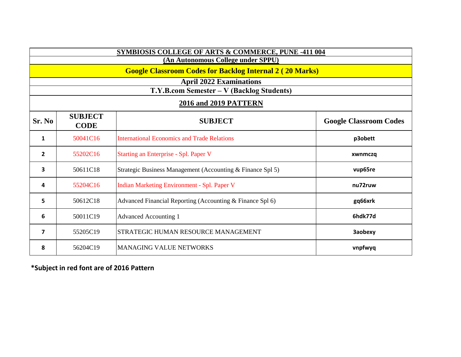| SYMBIOSIS COLLEGE OF ARTS & COMMERCE, PUNE -411 004             |                               |                                                            |                               |
|-----------------------------------------------------------------|-------------------------------|------------------------------------------------------------|-------------------------------|
| (An Autonomous College under SPPU)                              |                               |                                                            |                               |
| <b>Google Classroom Codes for Backlog Internal 2 (20 Marks)</b> |                               |                                                            |                               |
| <b>April 2022 Examinations</b>                                  |                               |                                                            |                               |
|                                                                 |                               | T.Y.B.com Semester - V (Backlog Students)                  |                               |
| <b>2016 and 2019 PATTERN</b>                                    |                               |                                                            |                               |
| Sr. No                                                          | <b>SUBJECT</b><br><b>CODE</b> | <b>SUBJECT</b>                                             | <b>Google Classroom Codes</b> |
| $\mathbf{1}$                                                    | 50041C16                      | <b>International Economics and Trade Relations</b>         | p3obett                       |
| $\overline{2}$                                                  | 55202C16                      | Starting an Enterprise - Spl. Paper V                      | xwnmczq                       |
| 3                                                               | 50611C18                      | Strategic Business Management (Accounting & Finance Spl 5) | vup65re                       |
| 4                                                               | 55204C16                      | Indian Marketing Environment - Spl. Paper V                | nu72ruw                       |
| 5                                                               | 50612C18                      | Advanced Financial Reporting (Accounting & Finance Spl 6)  | gq66xrk                       |
| 6                                                               | 50011C19                      | Advanced Accounting 1                                      | 6hdk77d                       |
| 7                                                               | 55205C19                      | <b>STRATEGIC HUMAN RESOURCE MANAGEMENT</b>                 | <b>3aobexy</b>                |
| 8                                                               | 56204C19                      | <b>MANAGING VALUE NETWORKS</b>                             | vnpfwyq                       |

**\*Subject in red font are of 2016 Pattern**